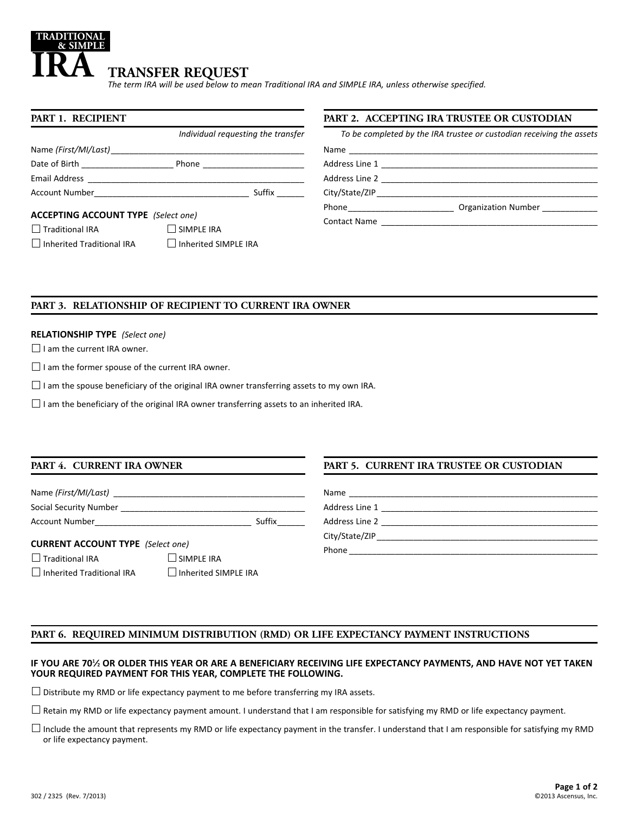### **TRANSFER REQUEST** *The term IRA will be used below to mean Traditional IRA and SIMPLE IRA, unless otherwise specified.* **TRADITIONAL & SIMPLE IRA**

**PART 1. RECIPIENT**  *Individual requesting the transfer* Name *(First/MI/Last)* Date of Birth \_\_\_\_\_\_\_\_\_\_\_\_\_\_\_\_\_\_\_\_ Phone \_\_\_\_\_\_\_\_\_\_\_\_\_\_\_\_\_\_\_\_\_\_ Email Address \_\_\_\_\_\_\_\_\_\_\_\_\_\_\_\_\_\_\_\_\_\_\_\_\_\_\_\_\_\_\_\_\_\_\_\_\_\_\_\_\_\_\_\_\_\_\_ Account Number **Account Number Suffix**  $\sim$ **ACCEPTING ACCOUNT TYPE** *(Select one)*

 $\Box$  Traditional IRA  $\Box$  SIMPLE IRA  $\Box$  Inherited Traditional IRA  $\Box$  Inherited SIMPLE IRA

## **PART 2. ACCEPTING IRA TRUSTEE OR CUSTODIAN**

| To be completed by the IRA trustee or custodian receiving the assets                                                                                                                                                                 |                     |  |
|--------------------------------------------------------------------------------------------------------------------------------------------------------------------------------------------------------------------------------------|---------------------|--|
|                                                                                                                                                                                                                                      |                     |  |
|                                                                                                                                                                                                                                      |                     |  |
|                                                                                                                                                                                                                                      |                     |  |
|                                                                                                                                                                                                                                      |                     |  |
| Phone <u>and the second second and the second second second second second second second second second second second second second second second second second second second second second second second second second second sec</u> | Organization Number |  |
| <b>Contact Name</b>                                                                                                                                                                                                                  |                     |  |

## **PART 3. RELATIONSHIP OF RECIPIENT TO CURRENT IRA OWNER**

## **RELATIONSHIP TYPE** *(Select one)*

 $\Box$  I am the current IRA owner.

 $\Box$  I am the former spouse of the current IRA owner.

 $\square$  I am the spouse beneficiary of the original IRA owner transferring assets to my own IRA.

 $\Box$  I am the beneficiary of the original IRA owner transferring assets to an inherited IRA.

## **PART 4. CURRENT IRA OWNER**

# **PART 5. CURRENT IRA TRUSTEE OR CUSTODIAN**

| Name (First/MI/Last)   |        | Name           |
|------------------------|--------|----------------|
| Social Security Number |        | Address Line 1 |
| <b>Account Number</b>  | Suffix | Address Line 2 |
|                        |        | City/State/ZIP |

## **CURRENT ACCOUNT TYPE** *(Select one)*

 $\Box$  Traditional IRA  $\Box$  SIMPLE IRA

 $\Box$  Inherited Traditional IRA  $\Box$  Inherited SIMPLE IRA

**PART 6. REQUIRED MINIMUM DISTRIBUTION (RMD) OR LIFE EXPECTANCY PAYMENT INSTRUCTIONS**

## **IF YOU ARE 701 ⁄2 OR OLDER THIS YEAR OR ARE A BENEFICIARY RECEIVING LIFE EXPECTANCY PAYMENTS, AND HAVE NOT YET TAKEN YOUR REQUIRED PAYMENT FOR THIS YEAR, COMPLETE THE FOLLOWING.**

Phone \_\_\_\_\_\_\_\_\_\_\_\_\_\_\_\_\_\_\_\_\_\_\_\_\_\_\_\_\_\_\_\_\_\_\_\_\_\_\_\_\_\_\_\_\_\_\_\_\_\_\_\_\_\_

 $\square$  Distribute my RMD or life expectancy payment to me before transferring my IRA assets.

 $\Box$  Retain my RMD or life expectancy payment amount. I understand that I am responsible for satisfying my RMD or life expectancy payment.

 $\Box$  Include the amount that represents my RMD or life expectancy payment in the transfer. I understand that I am responsible for satisfying my RMD or life expectancy payment.